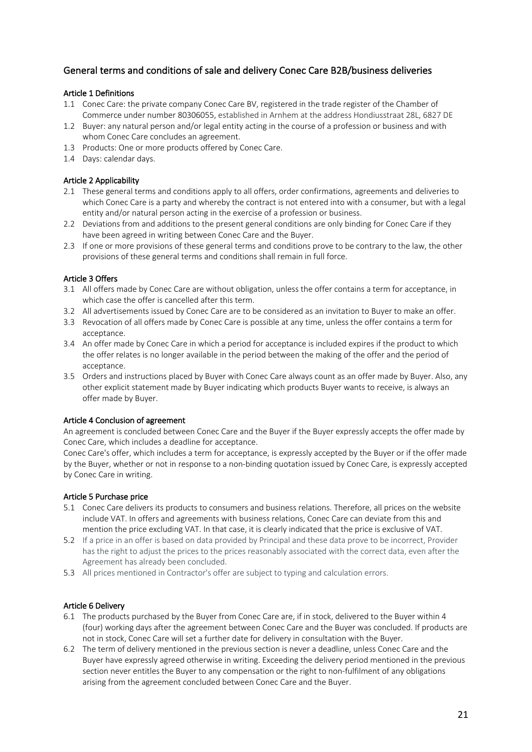# General terms and conditions of sale and delivery Conec Care B2B/business deliveries

## Article 1 Definitions

- 1.1 Conec Care: the private company Conec Care BV, registered in the trade register of the Chamber of Commerce under number 80306055, established in Arnhem at the address Hondiusstraat 28L, 6827 DE
- 1.2 Buyer: any natural person and/or legal entity acting in the course of a profession or business and with whom Conec Care concludes an agreement.
- 1.3 Products: One or more products offered by Conec Care.
- 1.4 Days: calendar days.

#### Article 2 Applicability

- 2.1 These general terms and conditions apply to all offers, order confirmations, agreements and deliveries to which Conec Care is a party and whereby the contract is not entered into with a consumer, but with a legal entity and/or natural person acting in the exercise of a profession or business.
- 2.2 Deviations from and additions to the present general conditions are only binding for Conec Care if they have been agreed in writing between Conec Care and the Buyer.
- 2.3 If one or more provisions of these general terms and conditions prove to be contrary to the law, the other provisions of these general terms and conditions shall remain in full force.

## Article 3 Offers

- 3.1 All offers made by Conec Care are without obligation, unless the offer contains a term for acceptance, in which case the offer is cancelled after this term.
- 3.2 All advertisements issued by Conec Care are to be considered as an invitation to Buyer to make an offer.
- 3.3 Revocation of all offers made by Conec Care is possible at any time, unless the offer contains a term for acceptance.
- 3.4 An offer made by Conec Care in which a period for acceptance is included expires if the product to which the offer relates is no longer available in the period between the making of the offer and the period of acceptance.
- 3.5 Orders and instructions placed by Buyer with Conec Care always count as an offer made by Buyer. Also, any other explicit statement made by Buyer indicating which products Buyer wants to receive, is always an offer made by Buyer.

#### Article 4 Conclusion of agreement

An agreement is concluded between Conec Care and the Buyer if the Buyer expressly accepts the offer made by Conec Care, which includes a deadline for acceptance.

Conec Care's offer, which includes a term for acceptance, is expressly accepted by the Buyer or if the offer made by the Buyer, whether or not in response to a non-binding quotation issued by Conec Care, is expressly accepted by Conec Care in writing.

# Article 5 Purchase price

- 5.1 Conec Care delivers its products to consumers and business relations. Therefore, all prices on the website include VAT. In offers and agreements with business relations, Conec Care can deviate from this and mention the price excluding VAT. In that case, it is clearly indicated that the price is exclusive of VAT.
- 5.2 If a price in an offer is based on data provided by Principal and these data prove to be incorrect, Provider has the right to adjust the prices to the prices reasonably associated with the correct data, even after the Agreement has already been concluded.
- 5.3 All prices mentioned in Contractor's offer are subject to typing and calculation errors.

#### Article 6 Delivery

- 6.1 The products purchased by the Buyer from Conec Care are, if in stock, delivered to the Buyer within 4 (four) working days after the agreement between Conec Care and the Buyer was concluded. If products are not in stock, Conec Care will set a further date for delivery in consultation with the Buyer.
- 6.2 The term of delivery mentioned in the previous section is never a deadline, unless Conec Care and the Buyer have expressly agreed otherwise in writing. Exceeding the delivery period mentioned in the previous section never entitles the Buyer to any compensation or the right to non-fulfilment of any obligations arising from the agreement concluded between Conec Care and the Buyer.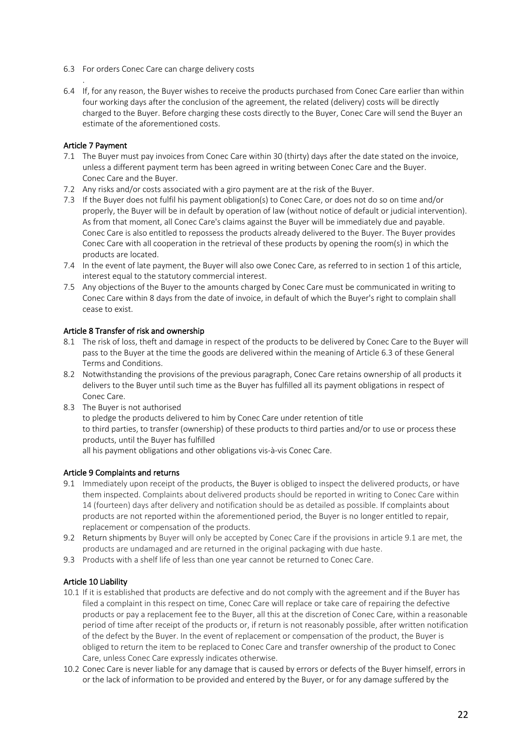- 6.3 For orders Conec Care can charge delivery costs
- 6.4 If, for any reason, the Buyer wishes to receive the products purchased from Conec Care earlier than within four working days after the conclusion of the agreement, the related (delivery) costs will be directly charged to the Buyer. Before charging these costs directly to the Buyer, Conec Care will send the Buyer an estimate of the aforementioned costs.

## Article 7 Payment

.

- 7.1 The Buyer must pay invoices from Conec Care within 30 (thirty) days after the date stated on the invoice, unless a different payment term has been agreed in writing between Conec Care and the Buyer. Conec Care and the Buyer.
- 7.2 Any risks and/or costs associated with a giro payment are at the risk of the Buyer.
- 7.3 If the Buyer does not fulfil his payment obligation(s) to Conec Care, or does not do so on time and/or properly, the Buyer will be in default by operation of law (without notice of default or judicial intervention). As from that moment, all Conec Care's claims against the Buyer will be immediately due and payable. Conec Care is also entitled to repossess the products already delivered to the Buyer. The Buyer provides Conec Care with all cooperation in the retrieval of these products by opening the room(s) in which the products are located.
- 7.4 In the event of late payment, the Buyer will also owe Conec Care, as referred to in section 1 of this article, interest equal to the statutory commercial interest.
- 7.5 Any objections of the Buyer to the amounts charged by Conec Care must be communicated in writing to Conec Care within 8 days from the date of invoice, in default of which the Buyer's right to complain shall cease to exist.

## Article 8 Transfer of risk and ownership

- 8.1 The risk of loss, theft and damage in respect of the products to be delivered by Conec Care to the Buyer will pass to the Buyer at the time the goods are delivered within the meaning of Article 6.3 of these General Terms and Conditions.
- 8.2 Notwithstanding the provisions of the previous paragraph, Conec Care retains ownership of all products it delivers to the Buyer until such time as the Buyer has fulfilled all its payment obligations in respect of Conec Care.
- 8.3 The Buyer is not authorised to pledge the products delivered to him by Conec Care under retention of title to third parties, to transfer (ownership) of these products to third parties and/or to use or process these products, until the Buyer has fulfilled all his payment obligations and other obligations vis-à-vis Conec Care.

# Article 9 Complaints and returns

- 9.1 Immediately upon receipt of the products, the Buyer is obliged to inspect the delivered products, or have them inspected. Complaints about delivered products should be reported in writing to Conec Care within 14 (fourteen) days after delivery and notification should be as detailed as possible. If complaints about products are not reported within the aforementioned period, the Buyer is no longer entitled to repair, replacement or compensation of the products.
- 9.2 Return shipments by Buyer will only be accepted by Conec Care if the provisions in article 9.1 are met, the products are undamaged and are returned in the original packaging with due haste.
- 9.3 Products with a shelf life of less than one year cannot be returned to Conec Care.

# Article 10 Liability

- 10.1 If it is established that products are defective and do not comply with the agreement and if the Buyer has filed a complaint in this respect on time, Conec Care will replace or take care of repairing the defective products or pay a replacement fee to the Buyer, all this at the discretion of Conec Care, within a reasonable period of time after receipt of the products or, if return is not reasonably possible, after written notification of the defect by the Buyer. In the event of replacement or compensation of the product, the Buyer is obliged to return the item to be replaced to Conec Care and transfer ownership of the product to Conec Care, unless Conec Care expressly indicates otherwise.
- 10.2 Conec Care is never liable for any damage that is caused by errors or defects of the Buyer himself, errors in or the lack of information to be provided and entered by the Buyer, or for any damage suffered by the